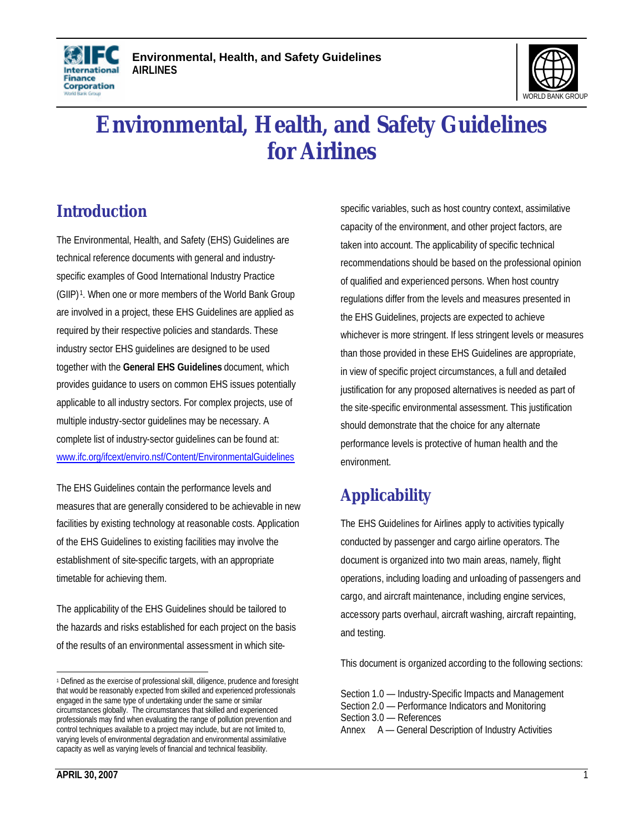

# **Environmental, Health, and Safety Guidelines for Airlines**

# **Introduction**

**International Finance** Corporation

The Environmental, Health, and Safety (EHS) Guidelines are technical reference documents with general and industryspecific examples of Good International Industry Practice (GIIP) <sup>1</sup> . When one or more members of the World Bank Group are involved in a project, these EHS Guidelines are applied as required by their respective policies and standards. These industry sector EHS guidelines are designed to be used together with the **General EHS Guidelines** document, which provides guidance to users on common EHS issues potentially applicable to all industry sectors. For complex projects, use of multiple industry-sector guidelines may be necessary. A complete list of industry-sector guidelines can be found at: www.ifc.org/ifcext/enviro.nsf/Content/EnvironmentalGuidelines

The EHS Guidelines contain the performance levels and measures that are generally considered to be achievable in new facilities by existing technology at reasonable costs. Application of the EHS Guidelines to existing facilities may involve the establishment of site-specific targets, with an appropriate timetable for achieving them.

The applicability of the EHS Guidelines should be tailored to the hazards and risks established for each project on the basis of the results of an environmental assessment in which site-

specific variables, such as host country context, assimilative capacity of the environment, and other project factors, are taken into account. The applicability of specific technical recommendations should be based on the professional opinion of qualified and experienced persons. When host country regulations differ from the levels and measures presented in the EHS Guidelines, projects are expected to achieve whichever is more stringent. If less stringent levels or measures than those provided in these EHS Guidelines are appropriate, in view of specific project circumstances, a full and detailed justification for any proposed alternatives is needed as part of the site-specific environmental assessment. This justification should demonstrate that the choice for any alternate performance levels is protective of human health and the environment.

# **Applicability**

The EHS Guidelines for Airlines apply to activities typically conducted by passenger and cargo airline operators. The document is organized into two main areas, namely, flight operations, including loading and unloading of passengers and cargo, and aircraft maintenance, including engine services, accessory parts overhaul, aircraft washing, aircraft repainting, and testing.

This document is organized according to the following sections:

Section 1.0 — Industry-Specific Impacts and Management Section 2.0 — Performance Indicators and Monitoring Section 3.0 — References Annex A — General Description of Industry Activities

 1 Defined as the exercise of professional skill, diligence, prudence and foresight that would be reasonably expected from skilled and experienced professionals engaged in the same type of undertaking under the same or similar circumstances globally. The circumstances that skilled and experienced professionals may find when evaluating the range of pollution prevention and control techniques available to a project may include, but are not limited to, varying levels of environmental degradation and environmental assimilative capacity as well as varying levels of financial and technical feasibility.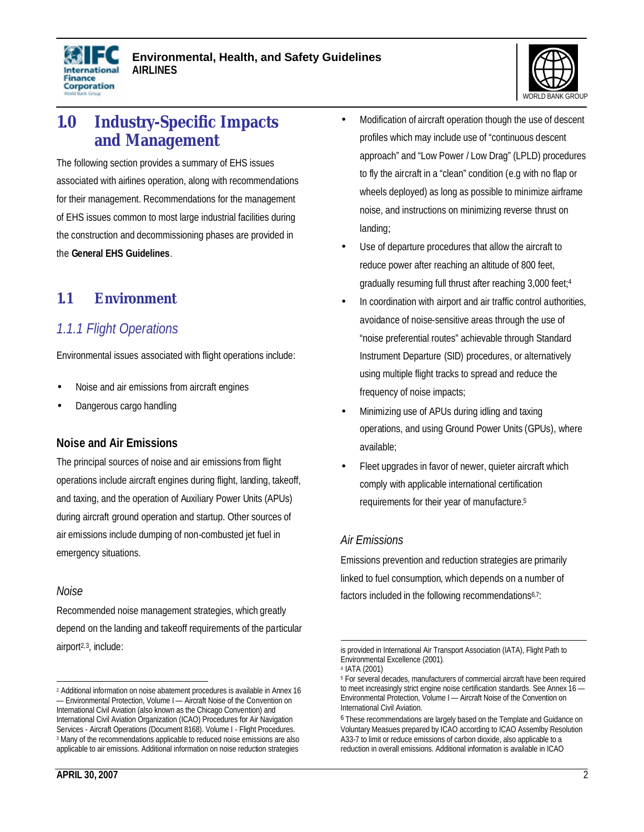



# **1.0 Industry-Specific Impacts and Management**

The following section provides a summary of EHS issues associated with airlines operation, along with recommendations for their management. Recommendations for the management of EHS issues common to most large industrial facilities during the construction and decommissioning phases are provided in the **General EHS Guidelines**.

### **1.1 Environment**

### *1.1.1 Flight Operations*

Environmental issues associated with flight operations include:

- Noise and air emissions from aircraft engines
- Dangerous cargo handling

#### **Noise and Air Emissions**

The principal sources of noise and air emissions from flight operations include aircraft engines during flight, landing, takeoff, and taxing, and the operation of Auxiliary Power Units (APUs) during aircraft ground operation and startup. Other sources of air emissions include dumping of non-combusted jet fuel in emergency situations.

#### *Noise*

Recommended noise management strategies, which greatly depend on the landing and takeoff requirements of the particular airport2,3 , include:

- Modification of aircraft operation though the use of descent profiles which may include use of "continuous descent approach" and "Low Power / Low Drag" (LPLD) procedures to fly the aircraft in a "clean" condition (e.g with no flap or wheels deployed) as long as possible to minimize airframe noise, and instructions on minimizing reverse thrust on landing;
- Use of departure procedures that allow the aircraft to reduce power after reaching an altitude of 800 feet, gradually resuming full thrust after reaching 3,000 feet;<sup>4</sup>
- In coordination with airport and air traffic control authorities, avoidance of noise-sensitive areas through the use of "noise preferential routes" achievable through Standard Instrument Departure (SID) procedures, or alternatively using multiple flight tracks to spread and reduce the frequency of noise impacts;
- Minimizing use of APUs during idling and taxing operations, and using Ground Power Units (GPUs), where available;
- Fleet upgrades in favor of newer, quieter aircraft which comply with applicable international certification requirements for their year of manufacture.<sup>5</sup>

#### *Air Emissions*

Emissions prevention and reduction strategies are primarily linked to fuel consumption, which depends on a number of factors included in the following recommendations<sup>6,7</sup>:

-

 2 Additional information on noise abatement procedures is available in Annex 16 — Environmental Protection, Volume I — Aircraft Noise of the Convention on International Civil Aviation (also known as the Chicago Convention) and International Civil Aviation Organization (ICAO) Procedures for Air Navigation Services - Aircraft Operations (Document 8168). Volume I - Flight Procedures. <sup>3</sup> Many of the recommendations applicable to reduced noise emissions are also applicable to air emissions. Additional information on noise reduction strategies

is provided in International Air Transport Association (IATA), Flight Path to Environmental Excellence (2001).

<sup>4</sup> IATA (2001)

<sup>&</sup>lt;sup>5</sup> For several decades, manufacturers of commercial aircraft have been required to meet increasingly strict engine noise certification standards. See Annex 16 — Environmental Protection, Volume I — Aircraft Noise of the Convention on International Civil Aviation.

<sup>&</sup>lt;sup>6</sup> These recommendations are largely based on the Template and Guidance on Voluntary Measues prepared by ICAO according to ICAO Assemlby Resolution A33-7 to limit or reduce emissions of carbon dioxide, also applicable to a reduction in overall emissions. Additional information is available in ICAO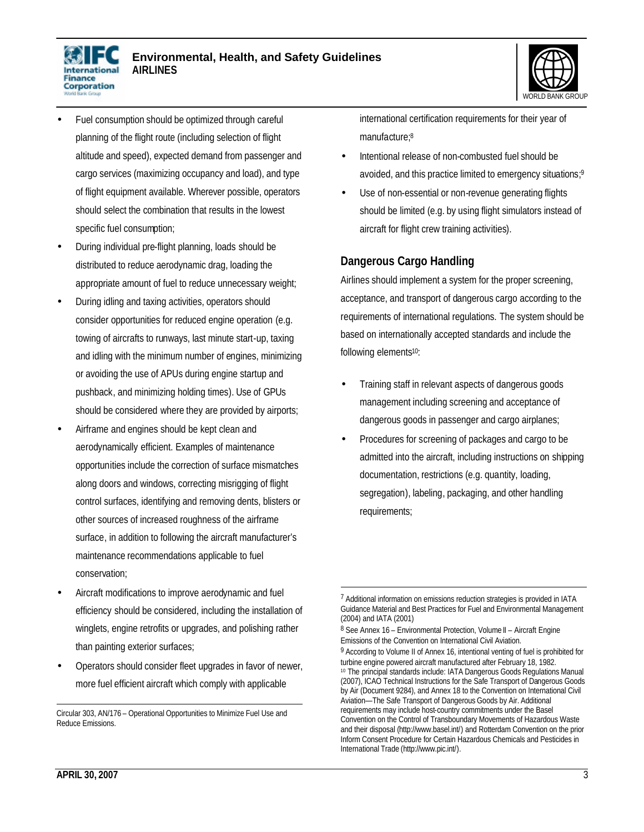



- Fuel consumption should be optimized through careful planning of the flight route (including selection of flight altitude and speed), expected demand from passenger and cargo services (maximizing occupancy and load), and type of flight equipment available. Wherever possible, operators should select the combination that results in the lowest specific fuel consumption;
- During individual pre-flight planning, loads should be distributed to reduce aerodynamic drag, loading the appropriate amount of fuel to reduce unnecessary weight;
- During idling and taxing activities, operators should consider opportunities for reduced engine operation (e.g. towing of aircrafts to runways, last minute start-up, taxing and idling with the minimum number of engines, minimizing or avoiding the use of APUs during engine startup and pushback, and minimizing holding times). Use of GPUs should be considered where they are provided by airports;
- Airframe and engines should be kept clean and aerodynamically efficient. Examples of maintenance opportunities include the correction of surface mismatches along doors and windows, correcting misrigging of flight control surfaces, identifying and removing dents, blisters or other sources of increased roughness of the airframe surface, in addition to following the aircraft manufacturer's maintenance recommendations applicable to fuel conservation;
- Aircraft modifications to improve aerodynamic and fuel efficiency should be considered, including the installation of winglets, engine retrofits or upgrades, and polishing rather than painting exterior surfaces;
- Operators should consider fleet upgrades in favor of newer, more fuel efficient aircraft which comply with applicable

international certification requirements for their year of manufacture; 8

- Intentional release of non-combusted fuel should be avoided, and this practice limited to emergency situations;<sup>9</sup>
- Use of non-essential or non-revenue generating flights should be limited (e.g. by using flight simulators instead of aircraft for flight crew training activities).

#### **Dangerous Cargo Handling**

Airlines should implement a system for the proper screening, acceptance, and transport of dangerous cargo according to the requirements of international regulations. The system should be based on internationally accepted standards and include the following elements<sup>10</sup>:

- Training staff in relevant aspects of dangerous goods management including screening and acceptance of dangerous goods in passenger and cargo airplanes;
- Procedures for screening of packages and cargo to be admitted into the aircraft, including instructions on shipping documentation, restrictions (e.g. quantity, loading, segregation), labeling, packaging, and other handling requirements;

 $\overline{a}$ 

 $\overline{a}$ Circular 303, AN/176 – Operational Opportunities to Minimize Fuel Use and Reduce Emissions.

<sup>7</sup> Additional information on emissions reduction strategies is provided in IATA Guidance Material and Best Practices for Fuel and Environmental Management (2004) and IATA (2001)

<sup>&</sup>lt;sup>8</sup> See Annex 16 - Environmental Protection, Volume II - Aircraft Engine Emissions of the Convention on International Civil Aviation.

<sup>&</sup>lt;sup>9</sup> According to Volume II of Annex 16, intentional venting of fuel is prohibited for turbine engine powered aircraft manufactured after February 18, 1982. <sup>10</sup> The principal standards include: IATA Dangerous Goods Regulations Manual (2007), ICAO Technical Instructions for the Safe Transport of Dangerous Goods by Air (Document 9284), and Annex 18 to the Convention on International Civil Aviation—The Safe Transport of Dangerous Goods by Air. Additional requirements may include host-country commitments under the Basel Convention on the Control of Transboundary Movements of Hazardous Waste and their disposal (http://www.basel.int/) and Rotterdam Convention on the prior Inform Consent Procedure for Certain Hazardous Chemicals and Pesticides in International Trade (http://www.pic.int/).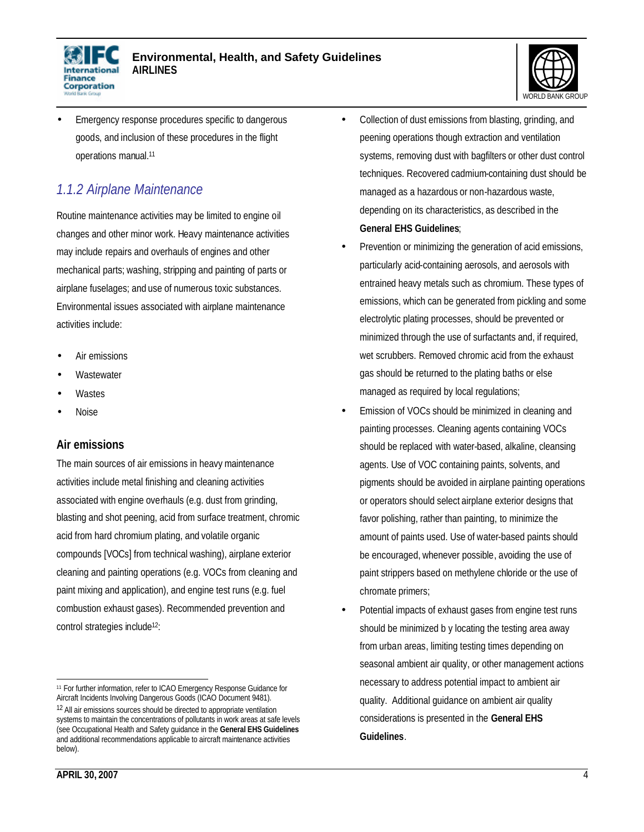



• Emergency response procedures specific to dangerous goods, and inclusion of these procedures in the flight operations manual.<sup>11</sup>

### *1.1.2 Airplane Maintenance*

Routine maintenance activities may be limited to engine oil changes and other minor work. Heavy maintenance activities may include repairs and overhauls of engines and other mechanical parts; washing, stripping and painting of parts or airplane fuselages; and use of numerous toxic substances. Environmental issues associated with airplane maintenance activities include:

- Air emissions
- **Wastewater**
- **Wastes**
- Noise

#### **Air emissions**

The main sources of air emissions in heavy maintenance activities include metal finishing and cleaning activities associated with engine overhauls (e.g. dust from grinding, blasting and shot peening, acid from surface treatment, chromic acid from hard chromium plating, and volatile organic compounds [VOCs] from technical washing), airplane exterior cleaning and painting operations (e.g. VOCs from cleaning and paint mixing and application), and engine test runs (e.g. fuel combustion exhaust gases). Recommended prevention and control strategies include12:

**APRIL 30, 2007** 4

- Collection of dust emissions from blasting, grinding, and peening operations though extraction and ventilation systems, removing dust with bagfilters or other dust control techniques. Recovered cadmium-containing dust should be managed as a hazardous or non-hazardous waste, depending on its characteristics, as described in the **General EHS Guidelines**;
- Prevention or minimizing the generation of acid emissions, particularly acid-containing aerosols, and aerosols with entrained heavy metals such as chromium. These types of emissions, which can be generated from pickling and some electrolytic plating processes, should be prevented or minimized through the use of surfactants and, if required, wet scrubbers. Removed chromic acid from the exhaust gas should be returned to the plating baths or else managed as required by local regulations;
- Emission of VOCs should be minimized in cleaning and painting processes. Cleaning agents containing VOCs should be replaced with water-based, alkaline, cleansing agents. Use of VOC containing paints, solvents, and pigments should be avoided in airplane painting operations or operators should select airplane exterior designs that favor polishing, rather than painting, to minimize the amount of paints used. Use of water-based paints should be encouraged, whenever possible, avoiding the use of paint strippers based on methylene chloride or the use of chromate primers;
- Potential impacts of exhaust gases from engine test runs should be minimized b y locating the testing area away from urban areas, limiting testing times depending on seasonal ambient air quality, or other management actions necessary to address potential impact to ambient air quality. Additional guidance on ambient air quality considerations is presented in the **General EHS Guidelines**.

 $\overline{a}$ <sup>11</sup> For further information, refer to ICAO Emergency Response Guidance for Aircraft Incidents Involving Dangerous Goods (ICAO Document 9481). 12 All air emissions sources should be directed to appropriate ventilation systems to maintain the concentrations of pollutants in work areas at safe levels (see Occupational Health and Safety guidance in the **General EHS Guidelines**  and additional recommendations applicable to aircraft maintenance activities below).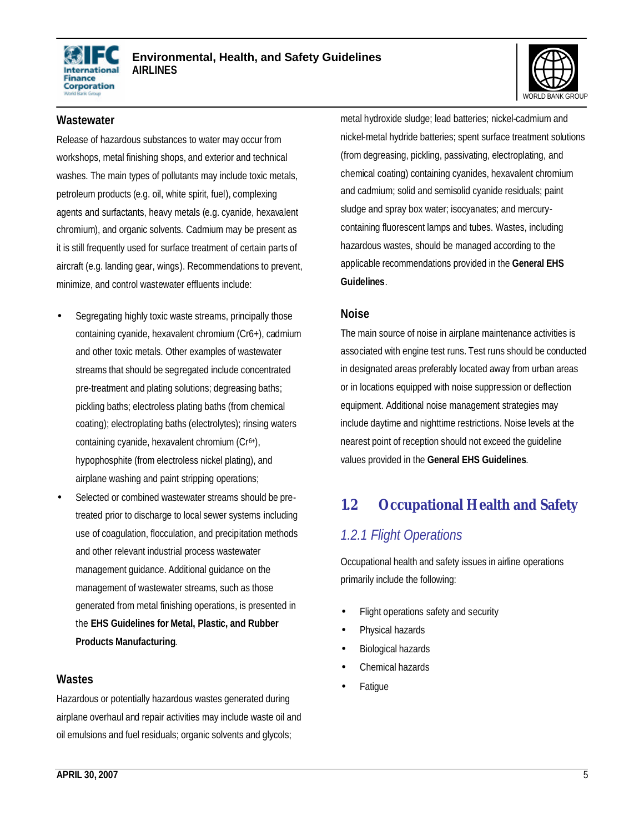



#### **Wastewater**

Release of hazardous substances to water may occur from workshops, metal finishing shops, and exterior and technical washes. The main types of pollutants may include toxic metals, petroleum products (e.g. oil, white spirit, fuel), complexing agents and surfactants, heavy metals (e.g. cyanide, hexavalent chromium), and organic solvents. Cadmium may be present as it is still frequently used for surface treatment of certain parts of aircraft (e.g. landing gear, wings). Recommendations to prevent, minimize, and control wastewater effluents include:

- Segregating highly toxic waste streams, principally those containing cyanide, hexavalent chromium (Cr6+), cadmium and other toxic metals. Other examples of wastewater streams that should be segregated include concentrated pre-treatment and plating solutions; degreasing baths; pickling baths; electroless plating baths (from chemical coating); electroplating baths (electrolytes); rinsing waters containing cyanide, hexavalent chromium (Cr<sup>6+</sup>), hypophosphite (from electroless nickel plating), and airplane washing and paint stripping operations;
- Selected or combined wastewater streams should be pretreated prior to discharge to local sewer systems including use of coagulation, flocculation, and precipitation methods and other relevant industrial process wastewater management guidance. Additional guidance on the management of wastewater streams, such as those generated from metal finishing operations, is presented in the **EHS Guidelines for Metal, Plastic, and Rubber Products Manufacturing**.

#### **Wastes**

Hazardous or potentially hazardous wastes generated during airplane overhaul and repair activities may include waste oil and oil emulsions and fuel residuals; organic solvents and glycols;

metal hydroxide sludge; lead batteries; nickel-cadmium and nickel-metal hydride batteries; spent surface treatment solutions (from degreasing, pickling, passivating, electroplating, and chemical coating) containing cyanides, hexavalent chromium and cadmium; solid and semisolid cyanide residuals; paint sludge and spray box water; isocyanates; and mercurycontaining fluorescent lamps and tubes. Wastes, including hazardous wastes, should be managed according to the applicable recommendations provided in the **General EHS Guidelines**.

#### **Noise**

The main source of noise in airplane maintenance activities is associated with engine test runs. Test runs should be conducted in designated areas preferably located away from urban areas or in locations equipped with noise suppression or deflection equipment. Additional noise management strategies may include daytime and nighttime restrictions. Noise levels at the nearest point of reception should not exceed the guideline values provided in the **General EHS Guidelines**.

## **1.2 Occupational Health and Safety**

### *1.2.1 Flight Operations*

Occupational health and safety issues in airline operations primarily include the following:

- Flight operations safety and security
- Physical hazards
- Biological hazards
- Chemical hazards
- **Fatique**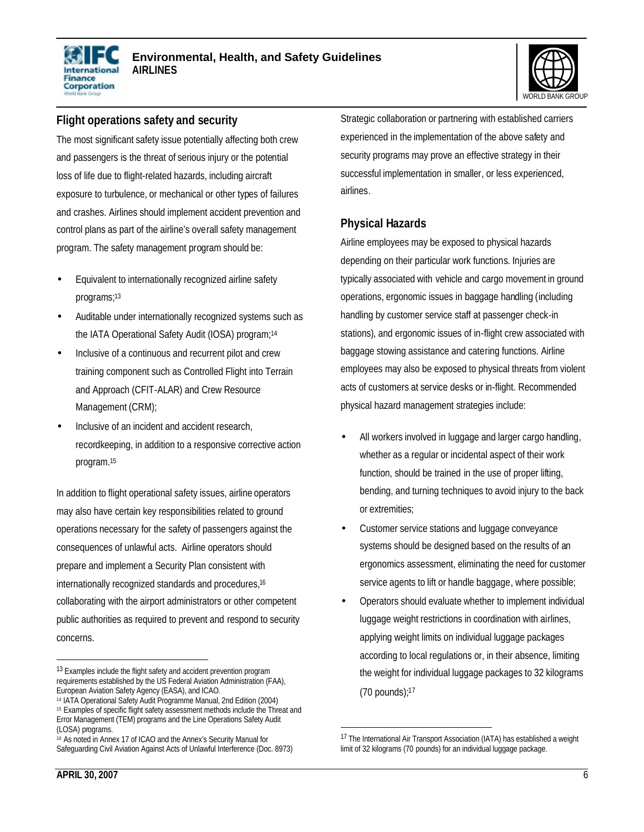



#### **Flight operations safety and security**

The most significant safety issue potentially affecting both crew and passengers is the threat of serious injury or the potential loss of life due to flight-related hazards, including aircraft exposure to turbulence, or mechanical or other types of failures and crashes. Airlines should implement accident prevention and control plans as part of the airline's overall safety management program. The safety management program should be:

- Equivalent to internationally recognized airline safety programs;<sup>13</sup>
- Auditable under internationally recognized systems such as the IATA Operational Safety Audit (IOSA) program;<sup>14</sup>
- Inclusive of a continuous and recurrent pilot and crew training component such as Controlled Flight into Terrain and Approach (CFIT-ALAR) and Crew Resource Management (CRM);
- Inclusive of an incident and accident research, recordkeeping, in addition to a responsive corrective action program.<sup>15</sup>

In addition to flight operational safety issues, airline operators may also have certain key responsibilities related to ground operations necessary for the safety of passengers against the consequences of unlawful acts. Airline operators should prepare and implement a Security Plan consistent with internationally recognized standards and procedures,<sup>16</sup> collaborating with the airport administrators or other competent public authorities as required to prevent and respond to security concerns.

**APRIL 30, 2007** 6

Strategic collaboration or partnering with established carriers experienced in the implementation of the above safety and security programs may prove an effective strategy in their successful implementation in smaller, or less experienced, airlines.

### **Physical Hazards**

Airline employees may be exposed to physical hazards depending on their particular work functions. Injuries are typically associated with vehicle and cargo movement in ground operations, ergonomic issues in baggage handling (including handling by customer service staff at passenger check-in stations), and ergonomic issues of in-flight crew associated with baggage stowing assistance and catering functions. Airline employees may also be exposed to physical threats from violent acts of customers at service desks or in-flight. Recommended physical hazard management strategies include:

- All workers involved in luggage and larger cargo handling, whether as a regular or incidental aspect of their work function, should be trained in the use of proper lifting, bending, and turning techniques to avoid injury to the back or extremities;
- Customer service stations and luggage conveyance systems should be designed based on the results of an ergonomics assessment, eliminating the need for customer service agents to lift or handle baggage, where possible;
- Operators should evaluate whether to implement individual luggage weight restrictions in coordination with airlines, applying weight limits on individual luggage packages according to local regulations or, in their absence, limiting the weight for individual luggage packages to 32 kilograms (70 pounds);<sup>17</sup>

-

<sup>13</sup> Examples include the flight safety and accident prevention program requirements established by the US Federal Aviation Administration (FAA), European Aviation Safety Agency (EASA), and ICAO.

<sup>14</sup> IATA Operational Safety Audit Programme Manual, 2nd Edition (2004) 15 Examples of specific flight safety assessment methods include the Threat and Error Management (TEM) programs and the Line Operations Safety Audit (LOSA) programs.

<sup>16</sup> As noted in Annex 17 of ICAO and the Annex's Security Manual for Safeguarding Civil Aviation Against Acts of Unlawful Interference (Doc. 8973)

<sup>17</sup> The International Air Transport Association (IATA) has established a weight limit of 32 kilograms (70 pounds) for an individual luggage package.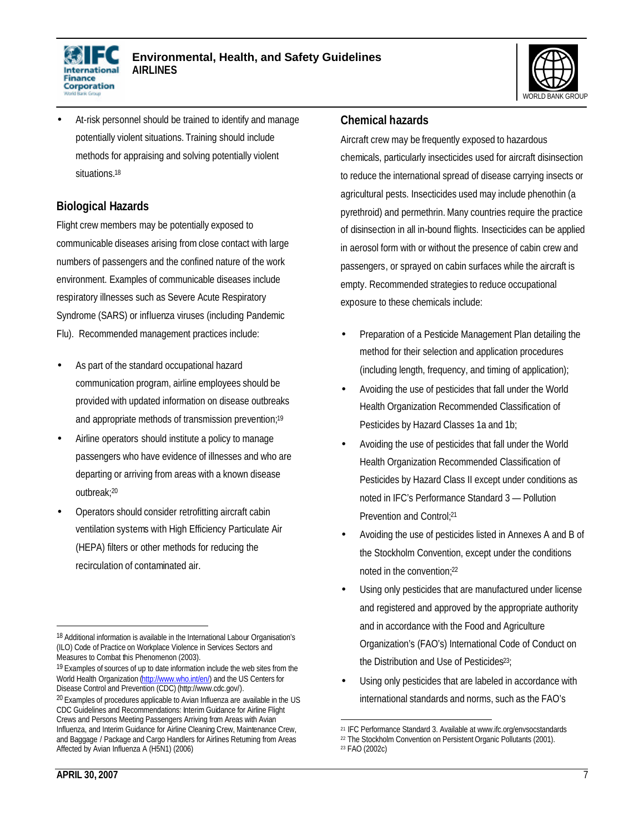



• At-risk personnel should be trained to identify and manage potentially violent situations. Training should include methods for appraising and solving potentially violent situations.<sup>18</sup>

#### **Biological Hazards**

Flight crew members may be potentially exposed to communicable diseases arising from close contact with large numbers of passengers and the confined nature of the work environment. Examples of communicable diseases include respiratory illnesses such as Severe Acute Respiratory Syndrome (SARS) or influenza viruses (including Pandemic Flu). Recommended management practices include:

- As part of the standard occupational hazard communication program, airline employees should be provided with updated information on disease outbreaks and appropriate methods of transmission prevention;<sup>19</sup>
- Airline operators should institute a policy to manage passengers who have evidence of illnesses and who are departing or arriving from areas with a known disease outbreak;<sup>20</sup>
- Operators should consider retrofitting aircraft cabin ventilation systems with High Efficiency Particulate Air (HEPA) filters or other methods for reducing the recirculation of contaminated air.

#### **Chemical hazards**

Aircraft crew may be frequently exposed to hazardous chemicals, particularly insecticides used for aircraft disinsection to reduce the international spread of disease carrying insects or agricultural pests. Insecticides used may include phenothin (a pyrethroid) and permethrin. Many countries require the practice of disinsection in all in-bound flights. Insecticides can be applied in aerosol form with or without the presence of cabin crew and passengers, or sprayed on cabin surfaces while the aircraft is empty. Recommended strategies to reduce occupational exposure to these chemicals include:

- Preparation of a Pesticide Management Plan detailing the method for their selection and application procedures (including length, frequency, and timing of application);
- Avoiding the use of pesticides that fall under the World Health Organization Recommended Classification of Pesticides by Hazard Classes 1a and 1b;
- Avoiding the use of pesticides that fall under the World Health Organization Recommended Classification of Pesticides by Hazard Class II except under conditions as noted in IFC's Performance Standard 3 — Pollution Prevention and Control:<sup>21</sup>
- Avoiding the use of pesticides listed in Annexes A and B of the Stockholm Convention, except under the conditions noted in the convention;<sup>22</sup>
- Using only pesticides that are manufactured under license and registered and approved by the appropriate authority and in accordance with the Food and Agriculture Organization's (FAO's) International Code of Conduct on the Distribution and Use of Pesticides<sup>23</sup>;
- Using only pesticides that are labeled in accordance with international standards and norms, such as the FAO's

<sup>&</sup>lt;sup>18</sup> Additional information is available in the International Labour Organisation's (ILO) Code of Practice on Workplace Violence in Services Sectors and Measures to Combat this Phenomenon (2003).

<sup>&</sup>lt;sup>19</sup> Examples of sources of up to date information include the web sites from the World Health Organization (http://www.who.int/en/) and the US Centers for Disease Control and Prevention (CDC) (http://www.cdc.gov/).

<sup>&</sup>lt;sup>20</sup> Examples of procedures applicable to Avian Influenza are available in the US CDC Guidelines and Recommendations: Interim Guidance for Airline Flight Crews and Persons Meeting Passengers Arriving from Areas with Avian Influenza, and Interim Guidance for Airline Cleaning Crew, Maintenance Crew, and Baggage / Package and Cargo Handlers for Airlines Returning from Areas Affected by Avian Influenza A (H5N1) (2006)

<sup>-</sup><sup>21</sup> IFC Performance Standard 3. Available at www.ifc.org/envsocstandards

<sup>22</sup> The Stockholm Convention on Persistent Organic Pollutants (2001).

<sup>23</sup> FAO (2002c)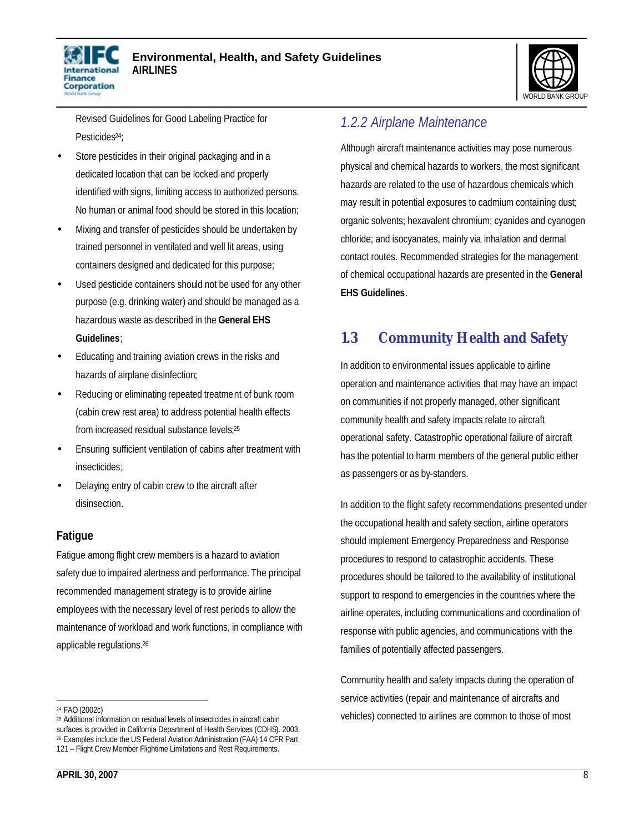



Revised Guidelines for Good Labeling Practice for Pesticides<sup>24</sup>;

- Store pesticides in their original packaging and in a dedicated location that can be locked and properly identified with signs, limiting access to authorized persons. No human or animal food should be stored in this location;
- Mixing and transfer of pesticides should be undertaken by trained personnel in ventilated and well lit areas, using containers designed and dedicated for this purpose;
- Used pesticide containers should not be used for any other purpose (e.g. drinking water) and should be managed as a hazardous waste as described in the **General EHS Guidelines**;
- Educating and training aviation crews in the risks and hazards of airplane disinfection;
- Reducing or eliminating repeated treatment of bunk room (cabin crew rest area) to address potential health effects from increased residual substance levels; 25
- Ensuring sufficient ventilation of cabins after treatment with insecticides;
- Delaying entry of cabin crew to the aircraft after disinsection.

#### **Fatigue**

Fatigue among flight crew members is a hazard to aviation safety due to impaired alertness and performance. The principal recommended management strategy is to provide airline employees with the necessary level of rest periods to allow the maintenance of workload and work functions, in compliance with applicable regulations.<sup>26</sup>

# *1.2.2 Airplane Maintenance*

Although aircraft maintenance activities may pose numerous physical and chemical hazards to workers, the most significant hazards are related to the use of hazardous chemicals which may result in potential exposures to cadmium containing dust; organic solvents; hexavalent chromium; cyanides and cyanogen chloride; and isocyanates, mainly via inhalation and dermal contact routes. Recommended strategies for the management of chemical occupational hazards are presented in the **General EHS Guidelines**.

# **1.3 Community Health and Safety**

In addition to environmental issues applicable to airline operation and maintenance activities that may have an impact on communities if not properly managed, other significant community health and safety impacts relate to aircraft operational safety. Catastrophic operational failure of aircraft has the potential to harm members of the general public either as passengers or as by-standers.

In addition to the flight safety recommendations presented under the occupational health and safety section, airline operators should implement Emergency Preparedness and Response procedures to respond to catastrophic accidents. These procedures should be tailored to the availability of institutional support to respond to emergencies in the countries where the airline operates, including communications and coordination of response with public agencies, and communications with the families of potentially affected passengers.

Community health and safety impacts during the operation of service activities (repair and maintenance of aircrafts and vehicles) connected to airlines are common to those of most

 $\overline{a}$ <sup>24</sup> FAO (2002c)

<sup>25</sup> Additional information on residual levels of insecticides in aircraft cabin surfaces is provided in California Department of Health Services (CDHS). 2003. <sup>26</sup> Examples include the US Federal Aviation Administration (FAA) 14 CFR Part 121 – Flight Crew Member Flightime Limitations and Rest Requirements.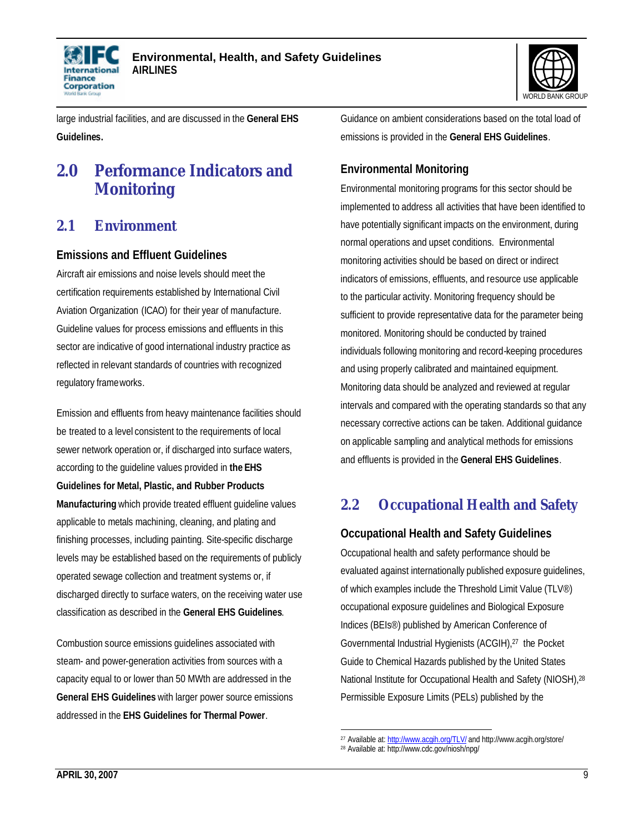



large industrial facilities, and are discussed in the **General EHS Guidelines.**

# **2.0 Performance Indicators and Monitoring**

### **2.1 Environment**

#### **Emissions and Effluent Guidelines**

Aircraft air emissions and noise levels should meet the certification requirements established by International Civil Aviation Organization (ICAO) for their year of manufacture. Guideline values for process emissions and effluents in this sector are indicative of good international industry practice as reflected in relevant standards of countries with recognized regulatory frameworks.

Emission and effluents from heavy maintenance facilities should be treated to a level consistent to the requirements of local sewer network operation or, if discharged into surface waters, according to the guideline values provided in **the EHS Guidelines for Metal, Plastic, and Rubber Products Manufacturing** which provide treated effluent guideline values applicable to metals machining, cleaning, and plating and finishing processes, including painting. Site-specific discharge levels may be established based on the requirements of publicly operated sewage collection and treatment systems or, if discharged directly to surface waters, on the receiving water use classification as described in the **General EHS Guidelines**.

Combustion source emissions guidelines associated with steam- and power-generation activities from sources with a capacity equal to or lower than 50 MWth are addressed in the **General EHS Guidelines** with larger power source emissions addressed in the **EHS Guidelines for Thermal Power**.

Guidance on ambient considerations based on the total load of emissions is provided in the **General EHS Guidelines**.

### **Environmental Monitoring**

Environmental monitoring programs for this sector should be implemented to address all activities that have been identified to have potentially significant impacts on the environment, during normal operations and upset conditions. Environmental monitoring activities should be based on direct or indirect indicators of emissions, effluents, and resource use applicable to the particular activity. Monitoring frequency should be sufficient to provide representative data for the parameter being monitored. Monitoring should be conducted by trained individuals following monitoring and record-keeping procedures and using properly calibrated and maintained equipment. Monitoring data should be analyzed and reviewed at regular intervals and compared with the operating standards so that any necessary corrective actions can be taken. Additional guidance on applicable sampling and analytical methods for emissions and effluents is provided in the **General EHS Guidelines**.

# **2.2 Occupational Health and Safety**

### **Occupational Health and Safety Guidelines**

Occupational health and safety performance should be evaluated against internationally published exposure guidelines, of which examples include the Threshold Limit Value (TLV®) occupational exposure guidelines and Biological Exposure Indices (BEIs®) published by American Conference of Governmental Industrial Hygienists (ACGIH),27 the Pocket Guide to Chemical Hazards published by the United States National Institute for Occupational Health and Safety (NIOSH),<sup>28</sup> Permissible Exposure Limits (PELs) published by the

 $\overline{a}$ <sup>27</sup> Available at: http://www.acgih.org/TLV/ and http://www.acgih.org/store/

<sup>28</sup> Available at: http://www.cdc.gov/niosh/npg/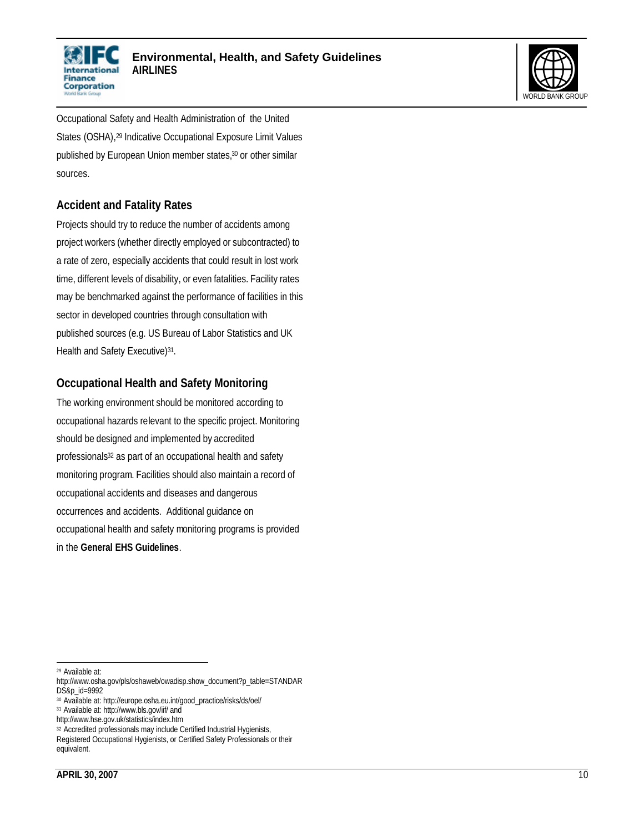



Occupational Safety and Health Administration of the United States (OSHA), <sup>29</sup> Indicative Occupational Exposure Limit Values published by European Union member states,<sup>30</sup> or other similar sources.

#### **Accident and Fatality Rates**

Projects should try to reduce the number of accidents among project workers (whether directly employed or subcontracted) to a rate of zero, especially accidents that could result in lost work time, different levels of disability, or even fatalities. Facility rates may be benchmarked against the performance of facilities in this sector in developed countries through consultation with published sources (e.g. US Bureau of Labor Statistics and UK Health and Safety Executive)<sup>31</sup>.

#### **Occupational Health and Safety Monitoring**

The working environment should be monitored according to occupational hazards relevant to the specific project. Monitoring should be designed and implemented by accredited professionals<sup>32</sup> as part of an occupational health and safety monitoring program. Facilities should also maintain a record of occupational accidents and diseases and dangerous occurrences and accidents. Additional guidance on occupational health and safety monitoring programs is provided in the **General EHS Guidelines**.

 <sup>29</sup> Available at:

http://www.osha.gov/pls/oshaweb/owadisp.show\_document?p\_table=STANDAR DS&p\_id=9992

<sup>30</sup> Available at: http://europe.osha.eu.int/good\_practice/risks/ds/oel/

<sup>31</sup> Available at: http://www.bls.gov/iif/ and

http://www.hse.gov.uk/statistics/index.htm

<sup>&</sup>lt;sup>32</sup> Accredited professionals may include Certified Industrial Hygienists,

Registered Occupational Hygienists, or Certified Safety Professionals or their equivalent.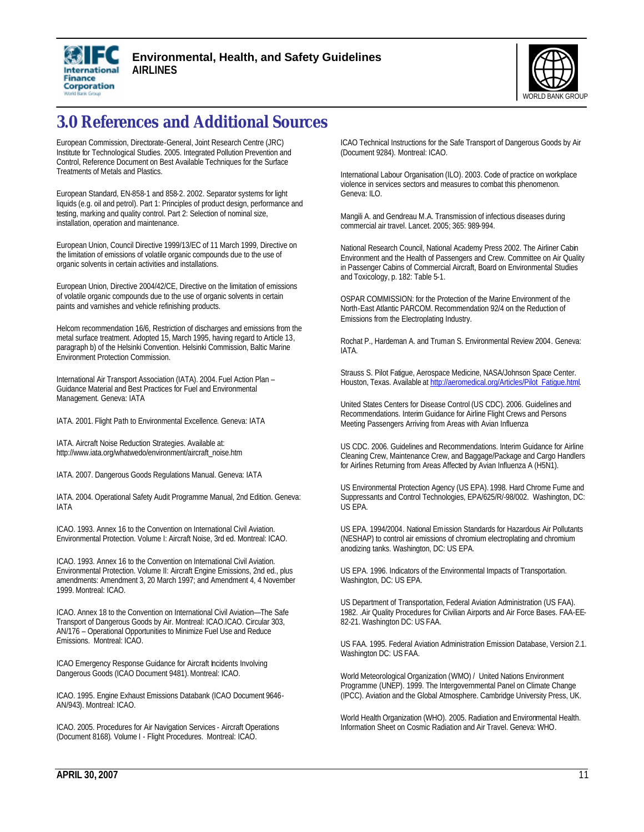



# **3.0 References and Additional Sources**

European Commission, Directorate-General, Joint Research Centre (JRC) Institute for Technological Studies. 2005. Integrated Pollution Prevention and Control, Reference Document on Best Available Techniques for the Surface Treatments of Metals and Plastics.

European Standard, EN-858-1 and 858-2. 2002. Separator systems for light liquids (e.g. oil and petrol). Part 1: Principles of product design, performance and testing, marking and quality control. Part 2: Selection of nominal size, installation, operation and maintenance.

European Union, Council Directive 1999/13/EC of 11 March 1999, Directive on the limitation of emissions of volatile organic compounds due to the use of organic solvents in certain activities and installations.

European Union, Directive 2004/42/CE, Directive on the limitation of emissions of volatile organic compounds due to the use of organic solvents in certain paints and varnishes and vehicle refinishing products.

Helcom recommendation 16/6, Restriction of discharges and emissions from the metal surface treatment. Adopted 15, March 1995, having regard to Article 13, paragraph b) of the Helsinki Convention. Helsinki Commission, Baltic Marine Environment Protection Commission.

International Air Transport Association (IATA). 2004. Fuel Action Plan – Guidance Material and Best Practices for Fuel and Environmental Management. Geneva: IATA

IATA. 2001. Flight Path to Environmental Excellence. Geneva: IATA

IATA. Aircraft Noise Reduction Strategies. Available at: http://www.iata.org/whatwedo/environment/aircraft\_noise.htm

IATA. 2007. Dangerous Goods Regulations Manual. Geneva: IATA

IATA. 2004. Operational Safety Audit Programme Manual, 2nd Edition. Geneva: IATA

ICAO. 1993. Annex 16 to the Convention on International Civil Aviation. Environmental Protection. Volume I: Aircraft Noise, 3rd ed. Montreal: ICAO.

ICAO. 1993. Annex 16 to the Convention on International Civil Aviation. Environmental Protection. Volume II: Aircraft Engine Emissions, 2nd ed., plus amendments: Amendment 3, 20 March 1997; and Amendment 4, 4 November 1999. Montreal: ICAO.

ICAO. Annex 18 to the Convention on International Civil Aviation—The Safe Transport of Dangerous Goods by Air. Montreal: ICAO.ICAO. Circular 303, AN/176 – Operational Opportunities to Minimize Fuel Use and Reduce Emissions. Montreal: ICAO.

ICAO Emergency Response Guidance for Aircraft Incidents Involving Dangerous Goods (ICAO Document 9481). Montreal: ICAO.

ICAO. 1995. Engine Exhaust Emissions Databank (ICAO Document 9646- AN/943). Montreal: ICAO.

ICAO. 2005. Procedures for Air Navigation Services - Aircraft Operations (Document 8168). Volume I - Flight Procedures. Montreal: ICAO.

ICAO Technical Instructions for the Safe Transport of Dangerous Goods by Air (Document 9284). Montreal: ICAO.

International Labour Organisation (ILO). 2003. Code of practice on workplace violence in services sectors and measures to combat this phenomenon. Geneva: ILO.

Mangili A. and Gendreau M.A. Transmission of infectious diseases during commercial air travel. Lancet. 2005; 365: 989-994.

National Research Council, National Academy Press 2002. The Airliner Cabin Environment and the Health of Passengers and Crew. Committee on Air Quality in Passenger Cabins of Commercial Aircraft, Board on Environmental Studies and Toxicology, p. 182: Table 5-1.

OSPAR COMMISSION: for the Protection of the Marine Environment of the North-East Atlantic PARCOM. Recommendation 92/4 on the Reduction of Emissions from the Electroplating Industry.

Rochat P., Hardeman A. and Truman S. Environmental Review 2004. Geneva: IATA.

Strauss S. Pilot Fatigue, Aerospace Medicine, NASA/Johnson Space Center. Houston, Texas. Available at http://aeromedical.org/Articles/Pilot\_Fatique.html.

United States Centers for Disease Control (US CDC). 2006. Guidelines and Recommendations. Interim Guidance for Airline Flight Crews and Persons Meeting Passengers Arriving from Areas with Avian Influenza

US CDC. 2006. Guidelines and Recommendations. Interim Guidance for Airline Cleaning Crew, Maintenance Crew, and Baggage/Package and Cargo Handlers for Airlines Returning from Areas Affected by Avian Influenza A (H5N1).

US Environmental Protection Agency (US EPA). 1998. Hard Chrome Fume and Suppressants and Control Technologies, EPA/625/R/-98/002. Washington, DC: US EPA.

US EPA. 1994/2004. National Emission Standards for Hazardous Air Pollutants (NESHAP) to control air emissions of chromium electroplating and chromium anodizing tanks. Washington, DC: US EPA.

US EPA. 1996. Indicators of the Environmental Impacts of Transportation. Washington, DC: US EPA.

US Department of Transportation, Federal Aviation Administration (US FAA). 1982. .Air Quality Procedures for Civilian Airports and Air Force Bases. FAA-EE-82-21. Washington DC: US FAA.

US FAA. 1995. Federal Aviation Administration Emission Database, Version 2.1. Washington DC: US FAA.

World Meteorological Organization (WMO) / United Nations Environment Programme (UNEP). 1999. The Intergovernmental Panel on Climate Change (IPCC). Aviation and the Global Atmosphere. Cambridge University Press, UK.

World Health Organization (WHO). 2005. Radiation and Environmental Health. Information Sheet on Cosmic Radiation and Air Travel. Geneva: WHO.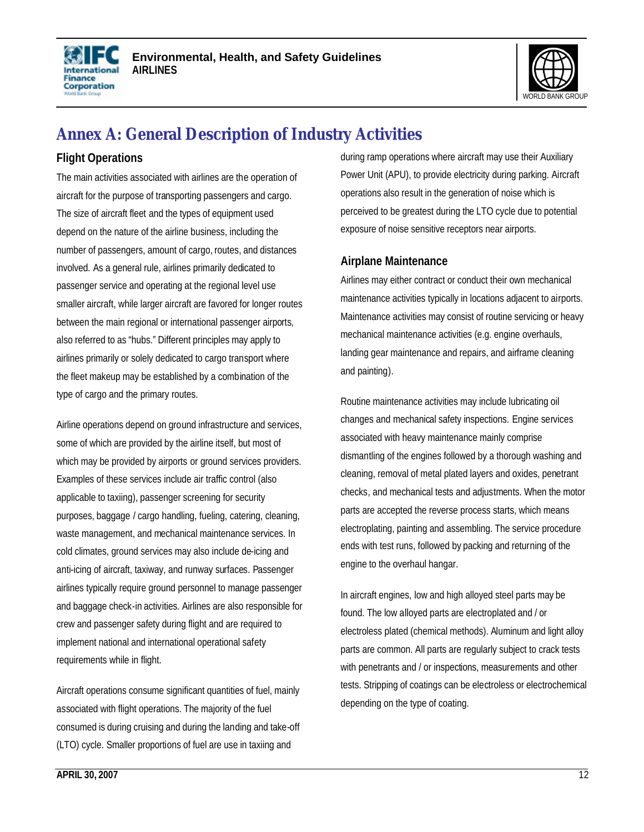



# **Annex A: General Description of Industry Activities**

### **Flight Operations**

The main activities associated with airlines are the operation of aircraft for the purpose of transporting passengers and cargo. The size of aircraft fleet and the types of equipment used depend on the nature of the airline business, including the number of passengers, amount of cargo, routes, and distances involved. As a general rule, airlines primarily dedicated to passenger service and operating at the regional level use smaller aircraft, while larger aircraft are favored for longer routes between the main regional or international passenger airports, also referred to as "hubs." Different principles may apply to airlines primarily or solely dedicated to cargo transport where the fleet makeup may be established by a combination of the type of cargo and the primary routes.

Airline operations depend on ground infrastructure and services, some of which are provided by the airline itself, but most of which may be provided by airports or ground services providers. Examples of these services include air traffic control (also applicable to taxiing), passenger screening for security purposes, baggage / cargo handling, fueling, catering, cleaning, waste management, and mechanical maintenance services. In cold climates, ground services may also include de-icing and anti-icing of aircraft, taxiway, and runway surfaces. Passenger airlines typically require ground personnel to manage passenger and baggage check-in activities. Airlines are also responsible for crew and passenger safety during flight and are required to implement national and international operational safety requirements while in flight.

Aircraft operations consume significant quantities of fuel, mainly associated with flight operations. The majority of the fuel consumed is during cruising and during the landing and take-off (LTO) cycle. Smaller proportions of fuel are use in taxiing and

during ramp operations where aircraft may use their Auxiliary Power Unit (APU), to provide electricity during parking. Aircraft operations also result in the generation of noise which is perceived to be greatest during the LTO cycle due to potential exposure of noise sensitive receptors near airports.

#### **Airplane Maintenance**

Airlines may either contract or conduct their own mechanical maintenance activities typically in locations adjacent to airports. Maintenance activities may consist of routine servicing or heavy mechanical maintenance activities (e.g. engine overhauls, landing gear maintenance and repairs, and airframe cleaning and painting).

Routine maintenance activities may include lubricating oil changes and mechanical safety inspections. Engine services associated with heavy maintenance mainly comprise dismantling of the engines followed by a thorough washing and cleaning, removal of metal plated layers and oxides, penetrant checks, and mechanical tests and adjustments. When the motor parts are accepted the reverse process starts, which means electroplating, painting and assembling. The service procedure ends with test runs, followed by packing and returning of the engine to the overhaul hangar.

In aircraft engines, low and high alloyed steel parts may be found. The low alloyed parts are electroplated and / or electroless plated (chemical methods). Aluminum and light alloy parts are common. All parts are regularly subject to crack tests with penetrants and / or inspections, measurements and other tests. Stripping of coatings can be electroless or electrochemical depending on the type of coating.